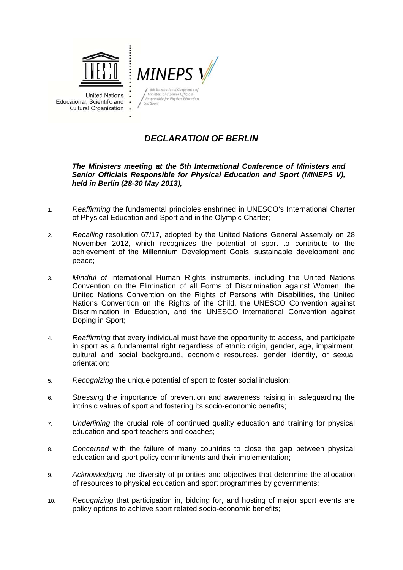

**United Nations** Educational, Scientific and **Cultural Organization** 



# **DECLARATION OF BERLIN**

# *Senior Officials Responsible for Physical Education and Sport (MINEPS V), h held in Ber rlin (28-30 M May 2013), ,DECLARATION OF BERLIN*<br> *The Ministers meeting at the 5th International Conference of Ministers and*

- 1. Reaffirming the fundamental principles enshrined in UNESCO's International Charter of Physical Education and Sport and in the Olympic Charter;
- 2. Recalling resolution 67/17, adopted by the United Nations General Assembly on 28 achievement of the Millennium Development Goals, sustainable development and November 2012, which recognizes the potential of sport to contribute to the peace;
- 3. Mindful of international Human Rights instruments, including the United Nations Convention on the Elimination of all Forms of Discrimination against Women, the United Nations Convention on the Rights of Persons with Disabilities, the United Nations Convention on the Rights of the Child, the UNESCO Convention against Discrimination in Education, and the UNESCO International Convention against Doping in S Sport;
- 4. Reaffirming that every individual must have the opportunity to access, and participate cultural and social background, economic resources, gender identity, or sexual o orientation; in sport as a fundamental right regardless of ethnic origin, gender, age, impairment,
- 5. Recognizing the unique potential of sport to foster social inclusion;
- 6. Stressing the importance of prevention and awareness raising in safeguarding the intrinsic values of sport and fostering its socio-economic benefits;
- 7. education and sport teachers and coaches; Underlining the crucial role of continued quality education and training for physical
- 8. education and sport policy commitments and their implementation; Concerned with the failure of many countries to close the gap between physical
- 9. Acknowledging the diversity of priorities and objectives that determine the allocation of resources to physical education and sport programmes by governments;
- 10. *R* Recognizing that participation in, bidding for, and hosting of major sport events are policy options to achieve sport related socio-economic benefits;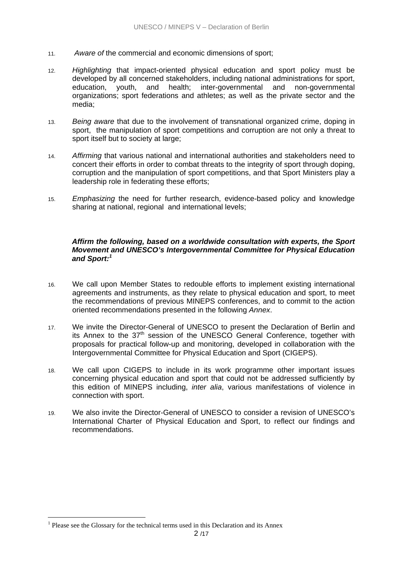- 11. *Aware of* the commercial and economic dimensions of sport;
- 12. *Highlighting* that impact-oriented physical education and sport policy must be developed by all concerned stakeholders, including national administrations for sport, education, youth, and health; inter-governmental and non-governmental organizations; sport federations and athletes; as well as the private sector and the media;
- 13. *Being aware* that due to the involvement of transnational organized crime, doping in sport, the manipulation of sport competitions and corruption are not only a threat to sport itself but to society at large;
- 14. *Affirming* that various national and international authorities and stakeholders need to concert their efforts in order to combat threats to the integrity of sport through doping, corruption and the manipulation of sport competitions, and that Sport Ministers play a leadership role in federating these efforts;
- 15. *Emphasizing* the need for further research, evidence-based policy and knowledge sharing at national, regional and international levels;

#### *Affirm the following, based on a worldwide consultation with experts, the Sport Movement and UNESCO's Intergovernmental Committee for Physical Education and Sport:<sup>1</sup>*

- 16. We call upon Member States to redouble efforts to implement existing international agreements and instruments, as they relate to physical education and sport, to meet the recommendations of previous MINEPS conferences, and to commit to the action oriented recommendations presented in the following *Annex*.
- 17. We invite the Director-General of UNESCO to present the Declaration of Berlin and its Annex to the  $37<sup>th</sup>$  session of the UNESCO General Conference, together with proposals for practical follow-up and monitoring, developed in collaboration with the Intergovernmental Committee for Physical Education and Sport (CIGEPS).
- 18. We call upon CIGEPS to include in its work programme other important issues concerning physical education and sport that could not be addressed sufficiently by this edition of MINEPS including, *inter alia*, various manifestations of violence in connection with sport.
- 19. We also invite the Director-General of UNESCO to consider a revision of UNESCO's International Charter of Physical Education and Sport, to reflect our findings and recommendations.

1

<sup>&</sup>lt;sup>1</sup> Please see the Glossary for the technical terms used in this Declaration and its Annex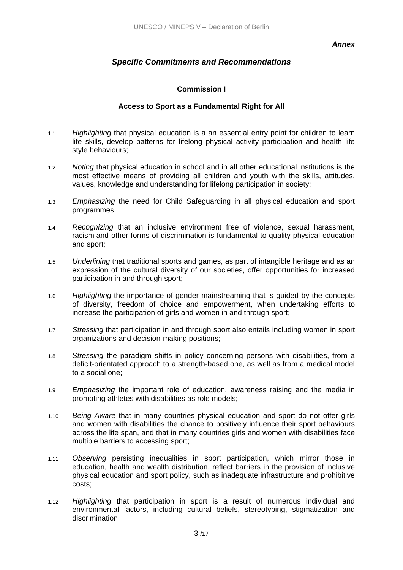#### *Annex*

# *Specific Commitments and Recommendations*

# **Commission I**

# **Access to Sport as a Fundamental Right for All**

- 1.1 *Highlighting* that physical education is a an essential entry point for children to learn life skills, develop patterns for lifelong physical activity participation and health life style behaviours;
- 1.2 *Noting* that physical education in school and in all other educational institutions is the most effective means of providing all children and youth with the skills, attitudes, values, knowledge and understanding for lifelong participation in society;
- 1.3 *Emphasizing* the need for Child Safeguarding in all physical education and sport programmes;
- 1.4 *Recognizing* that an inclusive environment free of violence, sexual harassment, racism and other forms of discrimination is fundamental to quality physical education and sport;
- 1.5 *Underlining* that traditional sports and games, as part of intangible heritage and as an expression of the cultural diversity of our societies, offer opportunities for increased participation in and through sport;
- 1.6 *Highlighting* the importance of gender mainstreaming that is guided by the concepts of diversity, freedom of choice and empowerment, when undertaking efforts to increase the participation of girls and women in and through sport;
- 1.7 *Stressing* that participation in and through sport also entails including women in sport organizations and decision-making positions;
- 1.8 *Stressing* the paradigm shifts in policy concerning persons with disabilities, from a deficit-orientated approach to a strength-based one, as well as from a medical model to a social one;
- 1.9 *Emphasizing* the important role of education, awareness raising and the media in promoting athletes with disabilities as role models;
- 1.10 *Being Aware* that in many countries physical education and sport do not offer girls and women with disabilities the chance to positively influence their sport behaviours across the life span, and that in many countries girls and women with disabilities face multiple barriers to accessing sport;
- 1.11 *Observing* persisting inequalities in sport participation, which mirror those in education, health and wealth distribution, reflect barriers in the provision of inclusive physical education and sport policy, such as inadequate infrastructure and prohibitive costs;
- 1.12 *Highlighting* that participation in sport is a result of numerous individual and environmental factors, including cultural beliefs, stereotyping, stigmatization and discrimination;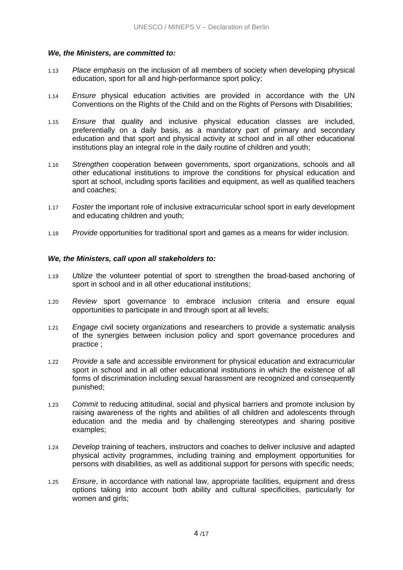# *We, the Ministers, are committed to:*

- 1.13 *Place emphasis* on the inclusion of all members of society when developing physical education, sport for all and high-performance sport policy;
- 1.14 *Ensure* physical education activities are provided in accordance with the UN Conventions on the Rights of the Child and on the Rights of Persons with Disabilities;
- 1.15 *Ensure* that quality and inclusive physical education classes are included, preferentially on a daily basis, as a mandatory part of primary and secondary education and that sport and physical activity at school and in all other educational institutions play an integral role in the daily routine of children and youth;
- 1.16 *Strengthen* cooperation between governments, sport organizations, schools and all other educational institutions to improve the conditions for physical education and sport at school, including sports facilities and equipment, as well as qualified teachers and coaches;
- 1.17 *Foster* the important role of inclusive extracurricular school sport in early development and educating children and youth;
- 1.18 *Provide* opportunities for traditional sport and games as a means for wider inclusion.

# *We, the Ministers, call upon all stakeholders to:*

- 1.19 *Utilize* the volunteer potential of sport to strengthen the broad-based anchoring of sport in school and in all other educational institutions;
- 1.20 *Review* sport governance to embrace inclusion criteria and ensure equal opportunities to participate in and through sport at all levels;
- 1.21 *Engage* civil society organizations and researchers to provide a systematic analysis of the synergies between inclusion policy and sport governance procedures and practice ;
- 1.22 *Provide* a safe and accessible environment for physical education and extracurricular sport in school and in all other educational institutions in which the existence of all forms of discrimination including sexual harassment are recognized and consequently punished;
- 1.23 *Commit* to reducing attitudinal, social and physical barriers and promote inclusion by raising awareness of the rights and abilities of all children and adolescents through education and the media and by challenging stereotypes and sharing positive examples;
- 1.24 *Develop* training of teachers, instructors and coaches to deliver inclusive and adapted physical activity programmes, including training and employment opportunities for persons with disabilities, as well as additional support for persons with specific needs;
- 1.25 *Ensure*, in accordance with national law, appropriate facilities, equipment and dress options taking into account both ability and cultural specificities, particularly for women and girls;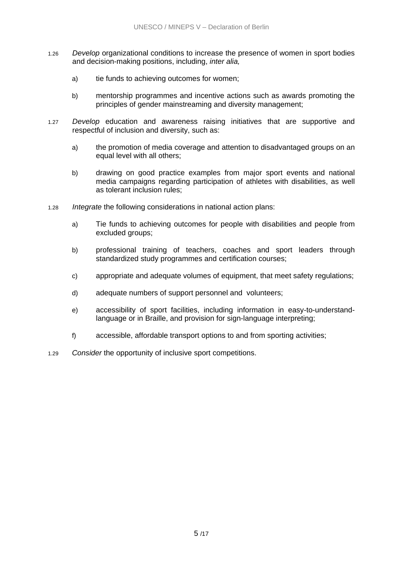- 1.26 *Develop* organizational conditions to increase the presence of women in sport bodies and decision-making positions, including, *inter alia,*
	- a) tie funds to achieving outcomes for women;
	- b) mentorship programmes and incentive actions such as awards promoting the principles of gender mainstreaming and diversity management;
- 1.27 *Develop* education and awareness raising initiatives that are supportive and respectful of inclusion and diversity, such as:
	- a) the promotion of media coverage and attention to disadvantaged groups on an equal level with all others;
	- b) drawing on good practice examples from major sport events and national media campaigns regarding participation of athletes with disabilities, as well as tolerant inclusion rules;
- 1.28 *Integrate* the following considerations in national action plans:
	- a) Tie funds to achieving outcomes for people with disabilities and people from excluded groups;
	- b) professional training of teachers, coaches and sport leaders through standardized study programmes and certification courses;
	- c) appropriate and adequate volumes of equipment, that meet safety regulations;
	- d) adequate numbers of support personnel and volunteers;
	- e) accessibility of sport facilities, including information in easy-to-understandlanguage or in Braille, and provision for sign-language interpreting;
	- f) accessible, affordable transport options to and from sporting activities;
- 1.29 *Consider* the opportunity of inclusive sport competitions.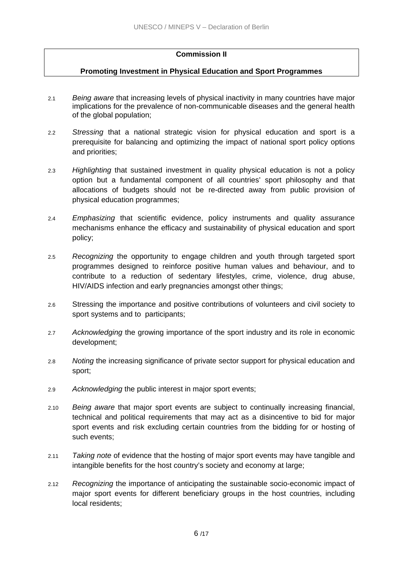# **Commission II**

# **Promoting Investment in Physical Education and Sport Programmes**

- 2.1 *Being aware* that increasing levels of physical inactivity in many countries have major implications for the prevalence of non-communicable diseases and the general health of the global population;
- 2.2 *Stressing* that a national strategic vision for physical education and sport is a prerequisite for balancing and optimizing the impact of national sport policy options and priorities;
- 2.3 *Highlighting* that sustained investment in quality physical education is not a policy option but a fundamental component of all countries' sport philosophy and that allocations of budgets should not be re-directed away from public provision of physical education programmes;
- 2.4 *Emphasizing* that scientific evidence, policy instruments and quality assurance mechanisms enhance the efficacy and sustainability of physical education and sport policy;
- 2.5 *Recognizing* the opportunity to engage children and youth through targeted sport programmes designed to reinforce positive human values and behaviour, and to contribute to a reduction of sedentary lifestyles, crime, violence, drug abuse, HIV/AIDS infection and early pregnancies amongst other things;
- 2.6 Stressing the importance and positive contributions of volunteers and civil society to sport systems and to participants;
- 2.7 *Acknowledging* the growing importance of the sport industry and its role in economic development;
- 2.8 *Noting* the increasing significance of private sector support for physical education and sport;
- 2.9 *Acknowledging* the public interest in major sport events;
- 2.10 *Being aware* that major sport events are subject to continually increasing financial, technical and political requirements that may act as a disincentive to bid for major sport events and risk excluding certain countries from the bidding for or hosting of such events;
- 2.11 *Taking note* of evidence that the hosting of major sport events may have tangible and intangible benefits for the host country's society and economy at large;
- 2.12 *Recognizing* the importance of anticipating the sustainable socio-economic impact of major sport events for different beneficiary groups in the host countries, including local residents;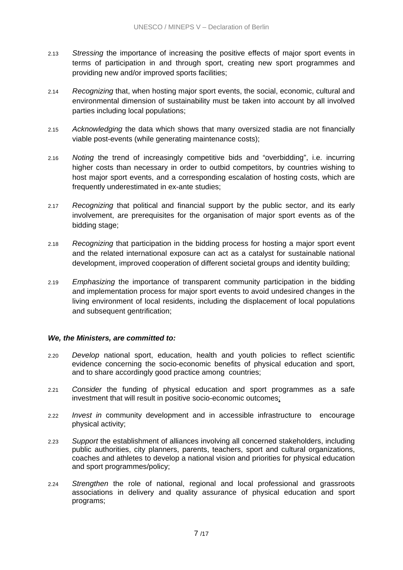- 2.13 *Stressing* the importance of increasing the positive effects of major sport events in terms of participation in and through sport, creating new sport programmes and providing new and/or improved sports facilities;
- 2.14 *Recognizing* that, when hosting major sport events, the social, economic, cultural and environmental dimension of sustainability must be taken into account by all involved parties including local populations;
- 2.15 *Acknowledging* the data which shows that many oversized stadia are not financially viable post-events (while generating maintenance costs);
- 2.16 *Noting* the trend of increasingly competitive bids and "overbidding", i.e. incurring higher costs than necessary in order to outbid competitors, by countries wishing to host major sport events, and a corresponding escalation of hosting costs, which are frequently underestimated in ex-ante studies;
- 2.17 *Recognizing* that political and financial support by the public sector, and its early involvement, are prerequisites for the organisation of major sport events as of the bidding stage;
- 2.18 *Recognizing* that participation in the bidding process for hosting a major sport event and the related international exposure can act as a catalyst for sustainable national development, improved cooperation of different societal groups and identity building;
- 2.19 *Emphasizing* the importance of transparent community participation in the bidding and implementation process for major sport events to avoid undesired changes in the living environment of local residents, including the displacement of local populations and subsequent gentrification;

# *We, the Ministers, are committed to:*

- 2.20 *Develop* national sport, education, health and youth policies to reflect scientific evidence concerning the socio-economic benefits of physical education and sport, and to share accordingly good practice among countries;
- 2.21 *Consider* the funding of physical education and sport programmes as a safe investment that will result in positive socio-economic outcomes;
- 2.22 *Invest in* community development and in accessible infrastructure to encourage physical activity;
- 2.23 *Support* the establishment of alliances involving all concerned stakeholders, including public authorities, city planners, parents, teachers, sport and cultural organizations, coaches and athletes to develop a national vision and priorities for physical education and sport programmes/policy;
- 2.24 *Strengthen* the role of national, regional and local professional and grassroots associations in delivery and quality assurance of physical education and sport programs;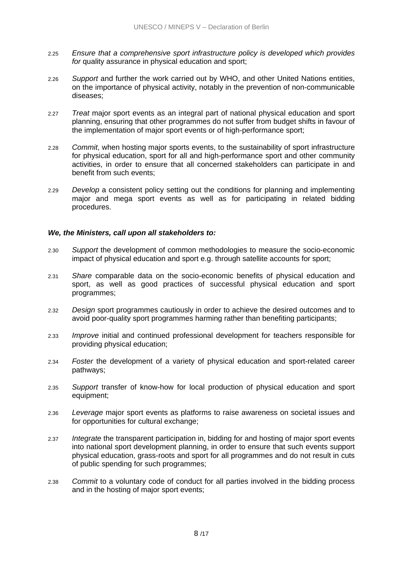- 2.25 *Ensure that a comprehensive sport infrastructure policy is developed which provides*  for quality assurance in physical education and sport;
- 2.26 *Support* and further the work carried out by WHO, and other United Nations entities, on the importance of physical activity, notably in the prevention of non-communicable diseases;
- 2.27 *Treat* major sport events as an integral part of national physical education and sport planning, ensuring that other programmes do not suffer from budget shifts in favour of the implementation of major sport events or of high-performance sport;
- 2.28 *Commit*, when hosting major sports events, to the sustainability of sport infrastructure for physical education, sport for all and high-performance sport and other community activities, in order to ensure that all concerned stakeholders can participate in and benefit from such events;
- 2.29 *Develop* a consistent policy setting out the conditions for planning and implementing major and mega sport events as well as for participating in related bidding procedures.

# *We, the Ministers, call upon all stakeholders to:*

- 2.30 *Support* the development of common methodologies to measure the socio-economic impact of physical education and sport e.g. through satellite accounts for sport;
- 2.31 *Share* comparable data on the socio-economic benefits of physical education and sport, as well as good practices of successful physical education and sport programmes;
- 2.32 *Design* sport programmes cautiously in order to achieve the desired outcomes and to avoid poor-quality sport programmes harming rather than benefiting participants;
- 2.33 *Improve* initial and continued professional development for teachers responsible for providing physical education;
- 2.34 *Foster* the development of a variety of physical education and sport-related career pathways;
- 2.35 *Support* transfer of know-how for local production of physical education and sport equipment;
- 2.36 *Leverage* major sport events as platforms to raise awareness on societal issues and for opportunities for cultural exchange;
- 2.37 *Integrate* the transparent participation in, bidding for and hosting of major sport events into national sport development planning, in order to ensure that such events support physical education, grass-roots and sport for all programmes and do not result in cuts of public spending for such programmes;
- 2.38 *Commit* to a voluntary code of conduct for all parties involved in the bidding process and in the hosting of major sport events;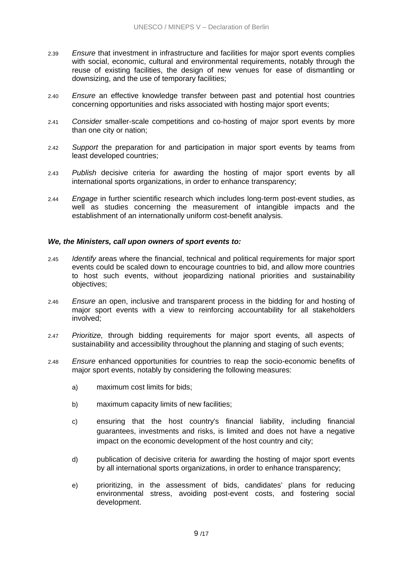- 2.39 *Ensure* that investment in infrastructure and facilities for major sport events complies with social, economic, cultural and environmental requirements, notably through the reuse of existing facilities, the design of new venues for ease of dismantling or downsizing, and the use of temporary facilities;
- 2.40 *Ensure* an effective knowledge transfer between past and potential host countries concerning opportunities and risks associated with hosting major sport events;
- 2.41 *Consider* smaller-scale competitions and co-hosting of major sport events by more than one city or nation;
- 2.42 *Support* the preparation for and participation in major sport events by teams from least developed countries;
- 2.43 *Publish* decisive criteria for awarding the hosting of major sport events by all international sports organizations, in order to enhance transparency;
- 2.44 *Engage* in further scientific research which includes long-term post-event studies, as well as studies concerning the measurement of intangible impacts and the establishment of an internationally uniform cost-benefit analysis.

# *We, the Ministers, call upon owners of sport events to:*

- 2.45 *Identify* areas where the financial, technical and political requirements for major sport events could be scaled down to encourage countries to bid, and allow more countries to host such events, without jeopardizing national priorities and sustainability objectives;
- 2.46 *Ensure* an open, inclusive and transparent process in the bidding for and hosting of major sport events with a view to reinforcing accountability for all stakeholders involved;
- 2.47 *Prioritize,* through bidding requirements for major sport events, all aspects of sustainability and accessibility throughout the planning and staging of such events;
- 2.48 *Ensure* enhanced opportunities for countries to reap the socio-economic benefits of major sport events, notably by considering the following measures:
	- a) maximum cost limits for bids;
	- b) maximum capacity limits of new facilities;
	- c) ensuring that the host country's financial liability, including financial guarantees, investments and risks, is limited and does not have a negative impact on the economic development of the host country and city;
	- d) publication of decisive criteria for awarding the hosting of major sport events by all international sports organizations, in order to enhance transparency;
	- e) prioritizing, in the assessment of bids, candidates' plans for reducing environmental stress, avoiding post-event costs, and fostering social development.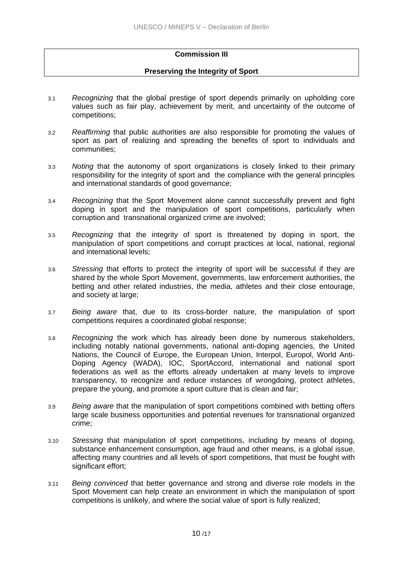# **Commission III**

# **Preserving the Integrity of Sport**

- 3.1 *Recognizing* that the global prestige of sport depends primarily on upholding core values such as fair play, achievement by merit, and uncertainty of the outcome of competitions;
- 3.2 *Reaffirming* that public authorities are also responsible for promoting the values of sport as part of realizing and spreading the benefits of sport to individuals and communities;
- 3.3 *Noting* that the autonomy of sport organizations is closely linked to their primary responsibility for the integrity of sport and the compliance with the general principles and international standards of good governance;
- 3.4 *Recognizing* that the Sport Movement alone cannot successfully prevent and fight doping in sport and the manipulation of sport competitions, particularly when corruption and transnational organized crime are involved;
- 3.5 *Recognizing* that the integrity of sport is threatened by doping in sport, the manipulation of sport competitions and corrupt practices at local, national, regional and international levels;
- 3.6 *Stressing* that efforts to protect the integrity of sport will be successful if they are shared by the whole Sport Movement, governments, law enforcement authorities, the betting and other related industries, the media, athletes and their close entourage, and society at large;
- 3.7 *Being aware* that, due to its cross-border nature, the manipulation of sport competitions requires a coordinated global response;
- 3.8 *Recognizing* the work which has already been done by numerous stakeholders, including notably national governments, national anti-doping agencies, the United Nations, the Council of Europe, the European Union, Interpol, Europol, World Anti-Doping Agency (WADA), IOC, SportAccord, international and national sport federations as well as the efforts already undertaken at many levels to improve transparency, to recognize and reduce instances of wrongdoing, protect athletes, prepare the young, and promote a sport culture that is clean and fair;
- 3.9 *Being aware* that the manipulation of sport competitions combined with betting offers large scale business opportunities and potential revenues for transnational organized crime;
- 3.10 *Stressing* that manipulation of sport competitions, including by means of doping, substance enhancement consumption, age fraud and other means, is a global issue, affecting many countries and all levels of sport competitions, that must be fought with significant effort;
- 3.11 *Being convinced* that better governance and strong and diverse role models in the Sport Movement can help create an environment in which the manipulation of sport competitions is unlikely, and where the social value of sport is fully realized;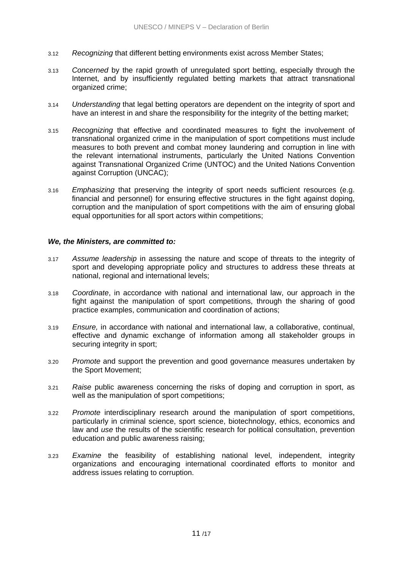- 3.12 *Recognizing* that different betting environments exist across Member States;
- 3.13 *Concerned* by the rapid growth of unregulated sport betting, especially through the Internet, and by insufficiently regulated betting markets that attract transnational organized crime;
- 3.14 *Understanding* that legal betting operators are dependent on the integrity of sport and have an interest in and share the responsibility for the integrity of the betting market;
- 3.15 *Recognizing* that effective and coordinated measures to fight the involvement of transnational organized crime in the manipulation of sport competitions must include measures to both prevent and combat money laundering and corruption in line with the relevant international instruments, particularly the United Nations Convention against Transnational Organized Crime (UNTOC) and the United Nations Convention against Corruption (UNCAC);
- 3.16 *Emphasizing* that preserving the integrity of sport needs sufficient resources (e.g. financial and personnel) for ensuring effective structures in the fight against doping, corruption and the manipulation of sport competitions with the aim of ensuring global equal opportunities for all sport actors within competitions;

#### *We, the Ministers, are committed to:*

- 3.17 *Assume leadership* in assessing the nature and scope of threats to the integrity of sport and developing appropriate policy and structures to address these threats at national, regional and international levels;
- 3.18 *Coordinate*, in accordance with national and international law, our approach in the fight against the manipulation of sport competitions, through the sharing of good practice examples, communication and coordination of actions;
- 3.19 *Ensure,* in accordance with national and international law, a collaborative, continual, effective and dynamic exchange of information among all stakeholder groups in securing integrity in sport;
- 3.20 *Promote* and support the prevention and good governance measures undertaken by the Sport Movement;
- 3.21 *Raise* public awareness concerning the risks of doping and corruption in sport, as well as the manipulation of sport competitions;
- 3.22 *Promote* interdisciplinary research around the manipulation of sport competitions, particularly in criminal science, sport science, biotechnology, ethics, economics and law and *use* the results of the scientific research for political consultation, prevention education and public awareness raising;
- 3.23 *Examine* the feasibility of establishing national level, independent, integrity organizations and encouraging international coordinated efforts to monitor and address issues relating to corruption.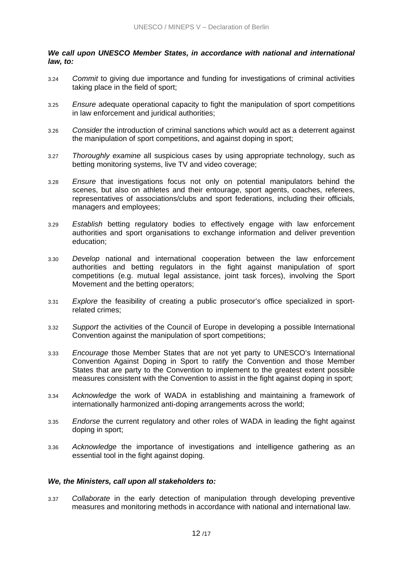# *We call upon UNESCO Member States, in accordance with national and international law, to:*

- 3.24 *Commit* to giving due importance and funding for investigations of criminal activities taking place in the field of sport;
- 3.25 *Ensure* adequate operational capacity to fight the manipulation of sport competitions in law enforcement and juridical authorities;
- 3.26 *Consider* the introduction of criminal sanctions which would act as a deterrent against the manipulation of sport competitions, and against doping in sport;
- 3.27 *Thoroughly examine* all suspicious cases by using appropriate technology, such as betting monitoring systems, live TV and video coverage;
- 3.28 *Ensure* that investigations focus not only on potential manipulators behind the scenes, but also on athletes and their entourage, sport agents, coaches, referees, representatives of associations/clubs and sport federations, including their officials, managers and employees;
- 3.29 *Establish* betting regulatory bodies to effectively engage with law enforcement authorities and sport organisations to exchange information and deliver prevention education;
- 3.30 *Develop* national and international cooperation between the law enforcement authorities and betting regulators in the fight against manipulation of sport competitions (e.g. mutual legal assistance, joint task forces), involving the Sport Movement and the betting operators;
- 3.31 *Explore* the feasibility of creating a public prosecutor's office specialized in sportrelated crimes;
- 3.32 *Support* the activities of the Council of Europe in developing a possible International Convention against the manipulation of sport competitions;
- 3.33 *Encourage* those Member States that are not yet party to UNESCO's International Convention Against Doping in Sport to ratify the Convention and those Member States that are party to the Convention to implement to the greatest extent possible measures consistent with the Convention to assist in the fight against doping in sport;
- 3.34 *Acknowledge* the work of WADA in establishing and maintaining a framework of internationally harmonized anti-doping arrangements across the world;
- 3.35 *Endorse* the current regulatory and other roles of WADA in leading the fight against doping in sport;
- 3.36 *Acknowledge* the importance of investigations and intelligence gathering as an essential tool in the fight against doping.

#### *We, the Ministers, call upon all stakeholders to:*

3.37 *Collaborate* in the early detection of manipulation through developing preventive measures and monitoring methods in accordance with national and international law.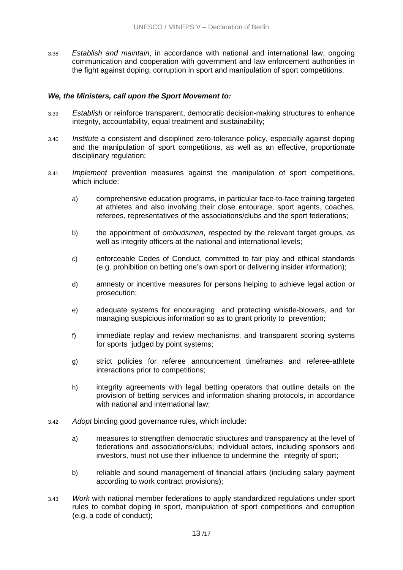3.38 *Establish and maintain*, in accordance with national and international law, ongoing communication and cooperation with government and law enforcement authorities in the fight against doping, corruption in sport and manipulation of sport competitions.

#### *We, the Ministers, call upon the Sport Movement to:*

- 3.39 *Establish* or reinforce transparent, democratic decision-making structures to enhance integrity, accountability, equal treatment and sustainability;
- 3.40 *Institute* a consistent and disciplined zero-tolerance policy, especially against doping and the manipulation of sport competitions, as well as an effective, proportionate disciplinary regulation;
- 3.41 *Implement* prevention measures against the manipulation of sport competitions, which include:
	- a) comprehensive education programs, in particular face-to-face training targeted at athletes and also involving their close entourage, sport agents, coaches, referees, representatives of the associations/clubs and the sport federations;
	- b) the appointment of *ombudsmen*, respected by the relevant target groups, as well as integrity officers at the national and international levels;
	- c) enforceable Codes of Conduct, committed to fair play and ethical standards (e.g. prohibition on betting one's own sport or delivering insider information);
	- d) amnesty or incentive measures for persons helping to achieve legal action or prosecution;
	- e) adequate systems for encouraging and protecting whistle-blowers, and for managing suspicious information so as to grant priority to prevention;
	- f) immediate replay and review mechanisms, and transparent scoring systems for sports judged by point systems;
	- g) strict policies for referee announcement timeframes and referee-athlete interactions prior to competitions;
	- h) integrity agreements with legal betting operators that outline details on the provision of betting services and information sharing protocols, in accordance with national and international law;
- 3.42 *Adopt* binding good governance rules, which include:
	- a) measures to strengthen democratic structures and transparency at the level of federations and associations/clubs; individual actors, including sponsors and investors, must not use their influence to undermine the integrity of sport;
	- b) reliable and sound management of financial affairs (including salary payment according to work contract provisions);
- 3.43 *Work* with national member federations to apply standardized regulations under sport rules to combat doping in sport, manipulation of sport competitions and corruption (e.g. a code of conduct);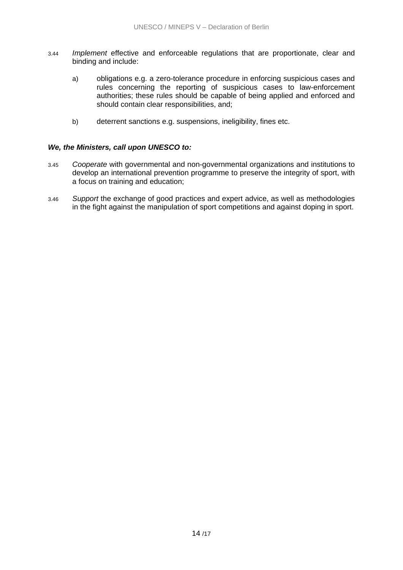- 3.44 *Implement* effective and enforceable regulations that are proportionate, clear and binding and include:
	- a) obligations e.g. a zero-tolerance procedure in enforcing suspicious cases and rules concerning the reporting of suspicious cases to law-enforcement authorities; these rules should be capable of being applied and enforced and should contain clear responsibilities, and;
	- b) deterrent sanctions e.g. suspensions, ineligibility, fines etc.

# *We, the Ministers, call upon UNESCO to:*

- 3.45 *Cooperate* with governmental and non-governmental organizations and institutions to develop an international prevention programme to preserve the integrity of sport, with a focus on training and education;
- 3.46 *Support* the exchange of good practices and expert advice, as well as methodologies in the fight against the manipulation of sport competitions and against doping in sport.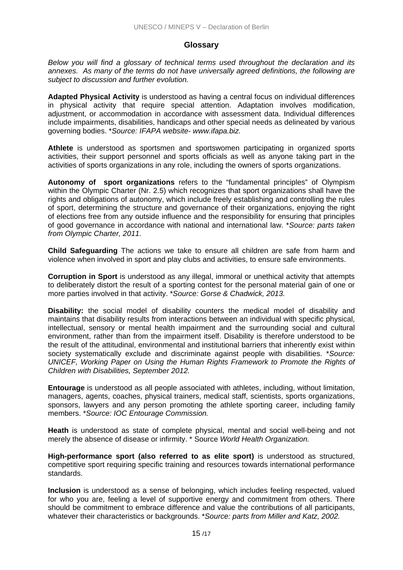# **Glossary**

*Below you will find a glossary of technical terms used throughout the declaration and its annexes. As many of the terms do not have universally agreed definitions, the following are subject to discussion and further evolution.* 

**Adapted Physical Activity** is understood as having a central focus on individual differences in physical activity that require special attention. Adaptation involves modification, adjustment, or accommodation in accordance with assessment data. Individual differences include impairments, disabilities, handicaps and other special needs as delineated by various governing bodies. \**Source: IFAPA website- www.ifapa.biz.*

**Athlete** is understood as sportsmen and sportswomen participating in organized sports activities, their support personnel and sports officials as well as anyone taking part in the activities of sports organizations in any role, including the owners of sports organizations.

**Autonomy of sport organizations** refers to the "fundamental principles" of Olympism within the Olympic Charter (Nr. 2.5) which recognizes that sport organizations shall have the rights and obligations of autonomy, which include freely establishing and controlling the rules of sport, determining the structure and governance of their organizations, enjoying the right of elections free from any outside influence and the responsibility for ensuring that principles of good governance in accordance with national and international law. \**Source: parts taken from Olympic Charter, 2011.* 

**Child Safeguarding** The actions we take to ensure all children are safe from harm and violence when involved in sport and play clubs and activities, to ensure safe environments.

**Corruption in Sport** is understood as any illegal, immoral or unethical activity that attempts to deliberately distort the result of a sporting contest for the personal material gain of one or more parties involved in that activity. \**Source: Gorse & Chadwick, 2013.*

**Disability:** the social model of disability counters the medical model of disability and maintains that disability results from interactions between an individual with specific physical, intellectual, sensory or mental health impairment and the surrounding social and cultural environment, rather than from the impairment itself. Disability is therefore understood to be the result of the attitudinal, environmental and institutional barriers that inherently exist within society systematically exclude and discriminate against people with disabilities. \**Source: UNICEF, Working Paper on Using the Human Rights Framework to Promote the Rights of Children with Disabilities, September 2012.*

**Entourage** is understood as all people associated with athletes, including, without limitation, managers, agents, coaches, physical trainers, medical staff, scientists, sports organizations, sponsors, lawyers and any person promoting the athlete sporting career, including family members. \**Source: IOC Entourage Commission.*

**Heath** is understood as state of complete physical, mental and social well-being and not merely the absence of disease or infirmity. \* Source *World Health Organization.* 

**High-performance sport (also referred to as elite sport)** is understood as structured, competitive sport requiring specific training and resources towards international performance standards.

**Inclusion** is understood as a sense of belonging, which includes feeling respected, valued for who you are, feeling a level of supportive energy and commitment from others. There should be commitment to embrace difference and value the contributions of all participants, whatever their characteristics or backgrounds. \**Source: parts from Miller and Katz, 2002.*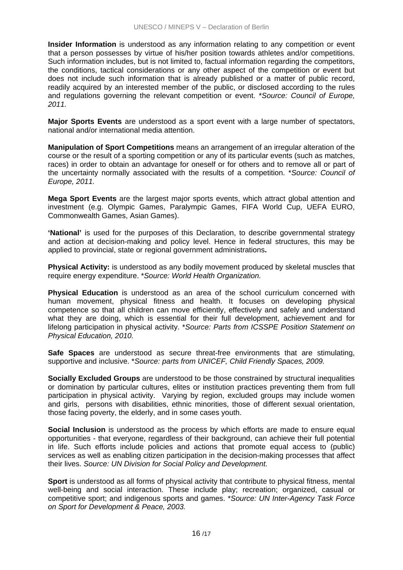**Insider Information** is understood as any information relating to any competition or event that a person possesses by virtue of his/her position towards athletes and/or competitions. Such information includes, but is not limited to, factual information regarding the competitors, the conditions, tactical considerations or any other aspect of the competition or event but does not include such information that is already published or a matter of public record, readily acquired by an interested member of the public, or disclosed according to the rules and regulations governing the relevant competition or event. \**Source: Council of Europe, 2011.*

**Major Sports Events** are understood as a sport event with a large number of spectators, national and/or international media attention.

**Manipulation of Sport Competitions** means an arrangement of an irregular alteration of the course or the result of a sporting competition or any of its particular events (such as matches, races) in order to obtain an advantage for oneself or for others and to remove all or part of the uncertainty normally associated with the results of a competition. \**Source: Council of Europe, 2011.*

**Mega Sport Events** are the largest major sports events, which attract global attention and investment (e.g. Olympic Games, Paralympic Games, FIFA World Cup, UEFA EURO, Commonwealth Games, Asian Games).

**'National'** is used for the purposes of this Declaration, to describe governmental strategy and action at decision-making and policy level. Hence in federal structures, this may be applied to provincial, state or regional government administrations**.** 

**Physical Activity:** is understood as any bodily movement produced by skeletal muscles that require energy expenditure. \**Source: World Health Organization.*

**Physical Education** is understood as an area of the school curriculum concerned with human movement, physical fitness and health. It focuses on developing physical competence so that all children can move efficiently, effectively and safely and understand what they are doing, which is essential for their full development, achievement and for lifelong participation in physical activity. \**Source: Parts from ICSSPE Position Statement on Physical Education, 2010.*

**Safe Spaces** are understood as secure threat-free environments that are stimulating, supportive and inclusive. \**Source: parts from UNICEF, Child Friendly Spaces, 2009.* 

**Socially Excluded Groups** are understood to be those constrained by structural inequalities or domination by particular cultures, elites or institution practices preventing them from full participation in physical activity. Varying by region, excluded groups may include women and girls, persons with disabilities, ethnic minorities, those of different sexual orientation, those facing poverty, the elderly, and in some cases youth.

**Social Inclusion** is understood as the process by which efforts are made to ensure equal opportunities - that everyone, regardless of their background, can achieve their full potential in life. Such efforts include policies and actions that promote equal access to (public) services as well as enabling citizen participation in the decision-making processes that affect their lives. *Source: UN Division for Social Policy and Development.* 

**Sport** is understood as all forms of physical activity that contribute to physical fitness, mental well-being and social interaction. These include play; recreation; organized, casual or competitive sport; and indigenous sports and games. \**Source: UN Inter-Agency Task Force on Sport for Development & Peace, 2003.*